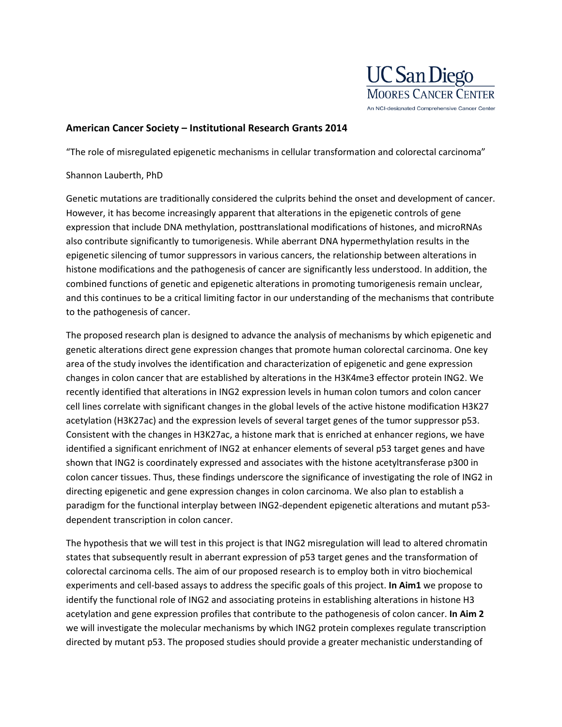

## **American Cancer Society – Institutional Research Grants 2014**

"The role of misregulated epigenetic mechanisms in cellular transformation and colorectal carcinoma"

## Shannon Lauberth, PhD

Genetic mutations are traditionally considered the culprits behind the onset and development of cancer. However, it has become increasingly apparent that alterations in the epigenetic controls of gene expression that include DNA methylation, posttranslational modifications of histones, and microRNAs also contribute significantly to tumorigenesis. While aberrant DNA hypermethylation results in the epigenetic silencing of tumor suppressors in various cancers, the relationship between alterations in histone modifications and the pathogenesis of cancer are significantly less understood. In addition, the combined functions of genetic and epigenetic alterations in promoting tumorigenesis remain unclear, and this continues to be a critical limiting factor in our understanding of the mechanisms that contribute to the pathogenesis of cancer.

The proposed research plan is designed to advance the analysis of mechanisms by which epigenetic and genetic alterations direct gene expression changes that promote human colorectal carcinoma. One key area of the study involves the identification and characterization of epigenetic and gene expression changes in colon cancer that are established by alterations in the H3K4me3 effector protein ING2. We recently identified that alterations in ING2 expression levels in human colon tumors and colon cancer cell lines correlate with significant changes in the global levels of the active histone modification H3K27 acetylation (H3K27ac) and the expression levels of several target genes of the tumor suppressor p53. Consistent with the changes in H3K27ac, a histone mark that is enriched at enhancer regions, we have identified a significant enrichment of ING2 at enhancer elements of several p53 target genes and have shown that ING2 is coordinately expressed and associates with the histone acetyltransferase p300 in colon cancer tissues. Thus, these findings underscore the significance of investigating the role of ING2 in directing epigenetic and gene expression changes in colon carcinoma. We also plan to establish a paradigm for the functional interplay between ING2-dependent epigenetic alterations and mutant p53 dependent transcription in colon cancer.

The hypothesis that we will test in this project is that ING2 misregulation will lead to altered chromatin states that subsequently result in aberrant expression of p53 target genes and the transformation of colorectal carcinoma cells. The aim of our proposed research is to employ both in vitro biochemical experiments and cell-based assays to address the specific goals of this project. **In Aim1** we propose to identify the functional role of ING2 and associating proteins in establishing alterations in histone H3 acetylation and gene expression profiles that contribute to the pathogenesis of colon cancer. **In Aim 2**  we will investigate the molecular mechanisms by which ING2 protein complexes regulate transcription directed by mutant p53. The proposed studies should provide a greater mechanistic understanding of